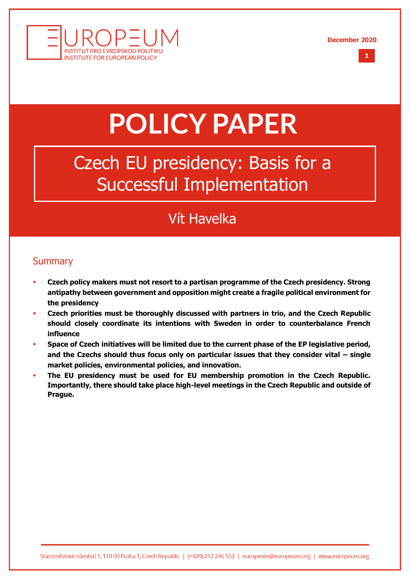





# **POLICY PAPER**

Czech EU presidency: Basis for a Successful Implementation

## Vít Havelka

### **Summary**

- Czech policy makers must not resort to a partisan programme of the Czech presidency. Strong **antipathy between government and opposition might create a fragile political environment for the presidency**
- **Czech priorities must be thoroughly discussed with partners in trio, and the Czech Republic should closely coordinate its intentions with Sweden in order to counterbalance French influence**
- Space of Czech initiatives will be limited due to the current phase of the EP legislative period, and the Czechs should thus focus only on particular issues that they consider vital – single **market policies, environmental policies, and innovation.**
- The EU presidency must be used for EU membership promotion in the Czech Republic. **Importantly, there should take place high-level meetings in the Czech Republic and outside of Prague.**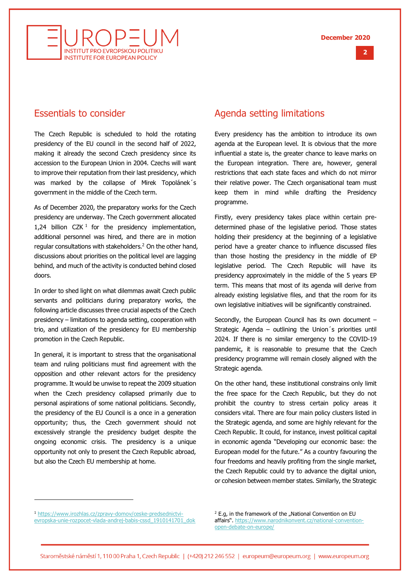

#### **2**

#### Essentials to consider

The Czech Republic is scheduled to hold the rotating presidency of the EU council in the second half of 2022, making it already the second Czech presidency since its accession to the European Union in 2004. Czechs will want to improve their reputation from their last presidency, which was marked by the collapse of Mirek Topolánek´s government in the middle of the Czech term.

As of December 2020, the preparatory works for the Czech presidency are underway. The Czech government allocated 1,24 billion  $CZK<sup>1</sup>$  for the presidency implementation, additional personnel was hired, and there are in motion regular consultations with stakeholders. <sup>2</sup> On the other hand, discussions about priorities on the political level are lagging behind, and much of the activity is conducted behind closed doors.

In order to shed light on what dilemmas await Czech public servants and politicians during preparatory works, the following article discusses three crucial aspects of the Czech presidency – limitations to agenda setting, cooperation with trio, and utilization of the presidency for EU membership promotion in the Czech Republic.

In general, it is important to stress that the organisational team and ruling politicians must find agreement with the opposition and other relevant actors for the presidency programme. It would be unwise to repeat the 2009 situation when the Czech presidency collapsed primarily due to personal aspirations of some national politicians. Secondly, the presidency of the EU Council is a once in a generation opportunity; thus, the Czech government should not excessively strangle the presidency budget despite the ongoing economic crisis. The presidency is a unique opportunity not only to present the Czech Republic abroad, but also the Czech EU membership at home.

#### Agenda setting limitations

Every presidency has the ambition to introduce its own agenda at the European level. It is obvious that the more influential a state is, the greater chance to leave marks on the European integration. There are, however, general restrictions that each state faces and which do not mirror their relative power. The Czech organisational team must keep them in mind while drafting the Presidency programme.

Firstly, every presidency takes place within certain predetermined phase of the legislative period. Those states holding their presidency at the beginning of a legislative period have a greater chance to influence discussed files than those hosting the presidency in the middle of EP legislative period. The Czech Republic will have its presidency approximately in the middle of the 5 years EP term. This means that most of its agenda will derive from already existing legislative files, and that the room for its own legislative initiatives will be significantly constrained.

Secondly, the European Council has its own document – Strategic Agenda – outlining the Union´s priorities until 2024. If there is no similar emergency to the COVID-19 pandemic, it is reasonable to presume that the Czech presidency programme will remain closely aligned with the Strategic agenda.

On the other hand, these institutional constrains only limit the free space for the Czech Republic, but they do not prohibit the country to stress certain policy areas it considers vital. There are four main policy clusters listed in the Strategic agenda, and some are highly relevant for the Czech Republic. It could, for instance, invest political capital in economic agenda "Developing our economic base: the European model for the future." As a country favouring the four freedoms and heavily profiting from the single market, the Czech Republic could try to advance the digital union, or cohesion between member states. Similarly, the Strategic

 $2$  E.g, in the framework of the "National Convention on EU affairs". [https://www.narodnikonvent.cz/national-convention](https://www.narodnikonvent.cz/national-convention-open-debate-on-europe/)[open-debate-on-europe/](https://www.narodnikonvent.cz/national-convention-open-debate-on-europe/)

<sup>1</sup> [https://www.irozhlas.cz/zpravy-domov/ceske-predsednictvi](https://www.irozhlas.cz/zpravy-domov/ceske-predsednictvi-evropska-unie-rozpocet-vlada-andrej-babis-cssd_1910141701_dok)[evropska-unie-rozpocet-vlada-andrej-babis-cssd\\_1910141701\\_dok](https://www.irozhlas.cz/zpravy-domov/ceske-predsednictvi-evropska-unie-rozpocet-vlada-andrej-babis-cssd_1910141701_dok)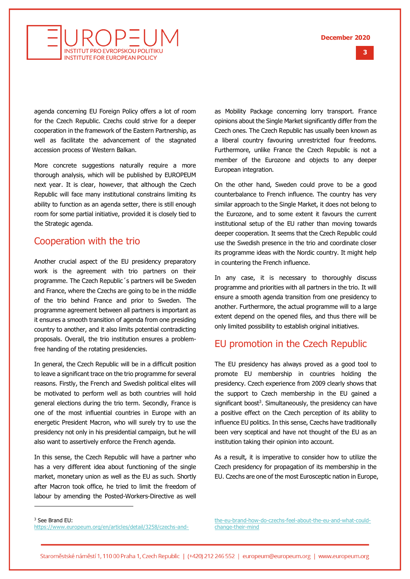**3**



agenda concerning EU Foreign Policy offers a lot of room for the Czech Republic. Czechs could strive for a deeper cooperation in the framework of the Eastern Partnership, as well as facilitate the advancement of the stagnated accession process of Western Balkan.

More concrete suggestions naturally require a more thorough analysis, which will be published by EUROPEUM next year. It is clear, however, that although the Czech Republic will face many institutional constrains limiting its ability to function as an agenda setter, there is still enough room for some partial initiative, provided it is closely tied to the Strategic agenda.

#### Cooperation with the trio

Another crucial aspect of the EU presidency preparatory work is the agreement with trio partners on their programme. The Czech Republic´s partners will be Sweden and France, where the Czechs are going to be in the middle of the trio behind France and prior to Sweden. The programme agreement between all partners is important as it ensures a smooth transition of agenda from one presiding country to another, and it also limits potential contradicting proposals. Overall, the trio institution ensures a problemfree handing of the rotating presidencies.

In general, the Czech Republic will be in a difficult position to leave a significant trace on the trio programme for several reasons. Firstly, the French and Swedish political elites will be motivated to perform well as both countries will hold general elections during the trio term. Secondly, France is one of the most influential countries in Europe with an energetic President Macron, who will surely try to use the presidency not only in his presidential campaign, but he will also want to assertively enforce the French agenda.

In this sense, the Czech Republic will have a partner who has a very different idea about functioning of the single market, monetary union as well as the EU as such. Shortly after Macron took office, he tried to limit the freedom of labour by amending the Posted-Workers-Directive as well

as Mobility Package concerning lorry transport. France opinions about the Single Market significantly differ from the Czech ones. The Czech Republic has usually been known as a liberal country favouring unrestricted four freedoms. Furthermore, unlike France the Czech Republic is not a member of the Eurozone and objects to any deeper European integration.

On the other hand, Sweden could prove to be a good counterbalance to French influence. The country has very similar approach to the Single Market, it does not belong to the Eurozone, and to some extent it favours the current institutional setup of the EU rather than moving towards deeper cooperation. It seems that the Czech Republic could use the Swedish presence in the trio and coordinate closer its programme ideas with the Nordic country. It might help in countering the French influence.

In any case, it is necessary to thoroughly discuss programme and priorities with all partners in the trio. It will ensure a smooth agenda transition from one presidency to another. Furthermore, the actual programme will to a large extent depend on the opened files, and thus there will be only limited possibility to establish original initiatives.

#### EU promotion in the Czech Republic

The EU presidency has always proved as a good tool to promote EU membership in countries holding the presidency. Czech experience from 2009 clearly shows that the support to Czech membership in the EU gained a significant boost<sup>3</sup>. Simultaneously, the presidency can have a positive effect on the Czech perception of its ability to influence EU politics. In this sense, Czechs have traditionally been very sceptical and have not thought of the EU as an institution taking their opinion into account.

As a result, it is imperative to consider how to utilize the Czech presidency for propagation of its membership in the EU. Czechs are one of the most Eurosceptic nation in Europe,

<sup>3</sup> See Brand EU:

[the-eu-brand-how-do-czechs-feel-about-the-eu-and-what-could](https://www.europeum.org/en/articles/detail/3258/czechs-and-the-eu-brand-how-do-czechs-feel-about-the-eu-and-what-could-change-their-mind)[change-their-mind](https://www.europeum.org/en/articles/detail/3258/czechs-and-the-eu-brand-how-do-czechs-feel-about-the-eu-and-what-could-change-their-mind)

[https://www.europeum.org/en/articles/detail/3258/czechs-and-](https://www.europeum.org/en/articles/detail/3258/czechs-and-the-eu-brand-how-do-czechs-feel-about-the-eu-and-what-could-change-their-mind)